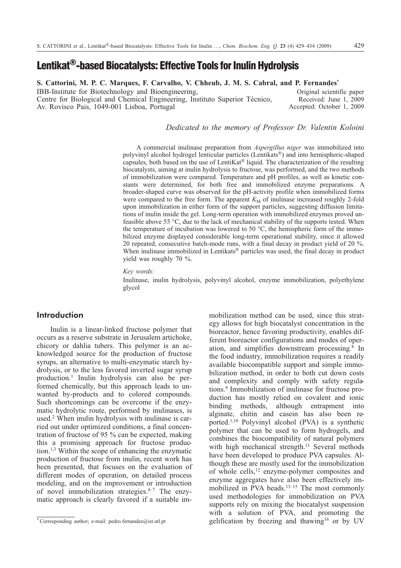# **Lentikat®-based Biocatalysts: Effective Tools for Inulin Hydrolysis**

**S. Cattorini, M. P. C. Marques, F. Carvalho, V. Chheub, J. M. S. Cabral, and P. Fernandes\*** IBB-Institute for Biotechnology and Bioengineering, Centre for Biological and Chemical Engineering, Instituto Superior Técnico,

Av. Rovisco Pais, 1049-001 Lisboa, Portugal

Original scientific paper Received: June 1, 2009 Accepted: October 1, 2009

## *Dedicated to the memory of Professor Dr. Valentin Koloini*

A commercial inulinase preparation from *Aspergillus niger* was immobilized into polyvinyl alcohol hydrogel lenticular particles (Lentikats®) and into hemispheric-shaped capsules, both based on the use of LentiKat® liquid. The characterization of the resulting biocatalysts, aiming at inulin hydrolysis to fructose, was performed, and the two methods of immobilization were compared. Temperature and pH profiles, as well as kinetic constants were determined, for both free and immobilized enzyme preparations. A broader-shaped curve was observed for the pH-activity profile when immobilized forms were compared to the free form. The apparent  $K_M$  of inulinase increased roughly 2-fold upon immobilization in either form of the support particles, suggesting diffusion limitations of inulin inside the gel. Long-term operation with immobilized enzymes proved unfeasible above 55 °C, due to the lack of mechanical stability of the supports tested. When the temperature of incubation was lowered to 50  $^{\circ}$ C, the hemispheric form of the immobilized enzyme displayed considerable long-term operational stability, since it allowed 20 repeated, consecutive batch-mode runs, with a final decay in product yield of 20 %. When inulinase immobilized in Lentikats<sup>®</sup> particles was used, the final decay in product yield was roughly 70 %.

*Key words:*

Inulinase, inulin hydrolysis, polyvinyl alcohol, enzyme immobilization, polyethylene glycol

# **Introduction**

Inulin is a linear-linked fructose polymer that occurs as a reserve substrate in Jerusalem artichoke, chicory or dahlia tubers. This polymer is an acknowledged source for the production of fructose syrups, an alternative to multi-enzymatic starch hydrolysis, or to the less favored inverted sugar syrup production.1 Inulin hydrolysis can also be performed chemically, but this approach leads to unwanted by-products and to colored compounds. Such shortcomings can be overcome if the enzymatic hydrolytic route, performed by inulinases, is used.2 When inulin hydrolysis with inulinase is carried out under optimized conditions, a final concentration of fructose of 95 % can be expected, making this a promising approach for fructose production.1,3 Within the scope of enhancing the enzymatic production of fructose from inulin, recent work has been presented, that focuses on the evaluation of different modes of operation, on detailed process modeling, and on the improvement or introduction of novel immobilization strategies. $4-7$  The enzymatic approach is clearly favored if a suitable immobilization method can be used, since this strategy allows for high biocatalyst concentration in the bioreactor, hence favoring productivity, enables different bioreactor configurations and modes of operation, and simplifies downstream processing.8 In the food industry, immobilization requires a readily available biocompatible support and simple immobilization method, in order to both cut down costs and complexity and comply with safety regulations.9 Immobilization of inulinase for fructose production has mostly relied on covalent and ionic binding methods, although entrapment into alginate, chitin and casein has also been reported.1,10 Polyvinyl alcohol (PVA) is a synthetic polymer that can be used to form hydrogels, and combines the biocompatibility of natural polymers with high mechanical strength.<sup>11</sup> Several methods have been developed to produce PVA capsules. Although these are mostly used for the immobilization of whole cells,12 enzyme-polymer composites and enzyme aggregates have also been effectively immobilized in PVA beads.<sup>13-15</sup> The most commonly used methodologies for immobilization on PVA supports rely on mixing the biocatalyst suspension with a solution of PVA, and promoting the gelification by freezing and thawing<sup>16</sup> or by UV

**<sup>\*</sup>** Corresponding author; e-mail: pedro.fernandes@ist.utl.pt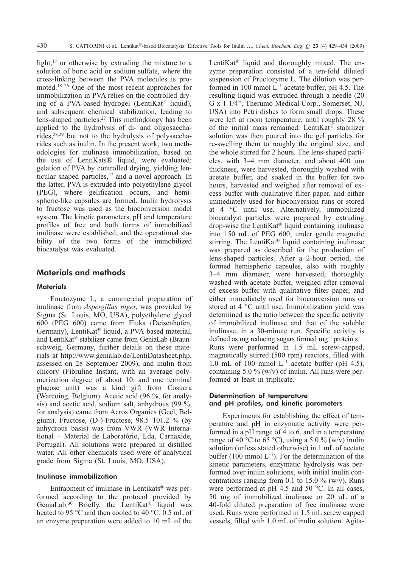light,<sup>17</sup> or otherwise by extruding the mixture to a solution of boric acid or sodium sulfate, where the cross-linking between the PVA molecules is promoted.18–26 One of the most recent approaches for immobilization in PVA relies on the controlled drying of a PVA-based hydrogel (LentiKat® liquid), and subsequent chemical stabilization, leading to lens-shaped particles.27 This methodology has been applied to the hydrolysis of di- and oligosaccharides,28,29 but not to the hydrolysis of polysaccharides such as inulin. In the present work, two methodologies for inulinase immobilization, based on the use of LentiKats® liquid, were evaluated: gelation of PVA by controlled drying, yielding lenticular shaped particles,<sup>27</sup> and a novel approach. In the latter, PVA is extruded into polyethylene glycol (PEG), where gelification occurs, and hemispheric-like capsules are formed. Inulin hydrolysis to fructose was used as the bioconversion model system. The kinetic parameters, pH and temperature profiles of free and both forms of immobilized inulinase were established, and the operational stability of the two forms of the immobilized biocatalyst was evaluated.

## **Materials and methods**

#### **Materials**

Fructozyme L, a commercial preparation of inulinase from *Aspergillus niger*, was provided by Sigma (St. Louis, MO, USA), polyethylene glycol 600 (PEG 600) came from Fluka (Deisenhofen, Germany), LentiKat® liquid, a PVA-based material, and LentiKat® stabilizer came from GeniaLab (Braunschweig, Germany, further details on these materials at http://www.genialab.de/LentiDatasheet.php, assessed on 28 September 2009), and inulin from chicory (Fibruline Instant, with an average polymerization degree of about 10, and one terminal glucose unit) was a kind gift from Cosucra (Warcoing, Belgium). Acetic acid (96 %, for analysis) and acetic acid, sodium salt, anhydrous (99 %, for analysis) came from Acros Organics (Geel, Belgium). Fructose, (D-)-Fructose, 98.5–101.2 % (by anhydrous basis) was from VWR (VWR International – Material de Laboratório, Lda, Carnaxide, Portugal). All solutions were prepared in distilled water. All other chemicals used were of analytical grade from Sigma (St. Louis, MO, USA).

## Inulinase immobilization

Entrapment of inulinase in Lentikats® was performed according to the protocol provided by GeniaLab.<sup>30</sup> Briefly, the LentiKat® liquid was heated to 95 °C and then cooled to 40 °C. 0.5 mL of an enzyme preparation were added to 10 mL of the LentiKat® liquid and thoroughly mixed. The enzyme preparation consisted of a ten-fold diluted suspension of Fructozyme L. The dilution was performed in 100 mmol  $L^{-1}$  acetate buffer, pH 4.5. The resulting liquid was extruded through a needle (20 G x 1 1/4", Therumo Medical Corp., Somerset, NJ, USA) into Petri dishes to form small drops. These were left at room temperature, until roughly 28 % of the initial mass remained. LentiKat® stabilizer solution was then poured into the gel particles for re-swelling them to roughly the original size, and the whole stirred for 2 hours. The lens-shaped particles, with 3–4 mm diameter, and about 400 m thickness, were harvested, thoroughly washed with acetate buffer, and soaked in the buffer for two hours, harvested and weighed after removal of excess buffer with qualitative filter paper, and either immediately used for bioconversion runs or stored at 4 °C until use. Alternatively, immobilized biocatalyst particles were prepared by extruding drop-wise the LentiKat® liquid containing inulinase into 150 mL of PEG 600, under gentle magnetic stirring. The LentiKat® liquid containing inulinase was prepared as described for the production of lens-shaped particles. After a 2-hour period, the formed hemispheric capsules, also with roughly 3–4 mm diameter, were harvested, thoroughly washed with acetate buffer, weighed after removal of excess buffer with qualitative filter paper, and either immediately used for bioconversion runs or stored at 4 °C until use. Immobilization yield was determined as the ratio between the specific activity of immobilized inulinase and that of the soluble inulinase, in a 30-minute run. Specific activity is defined as mg reducing sugars formed  $mg^{-1}$  protein  $s^{-1}$ . Runs were performed in 1.5 mL screw-capped, magnetically stirred (500 rpm) reactors, filled with 1.0 mL of 100 mmol  $L^{-1}$  acetate buffer (pH 4.5), containing 5.0 % (w/v) of inulin. All runs were performed at least in triplicate.

## Determination of temperature and pH profiles, and kinetic parameters

Experiments for establishing the effect of temperature and pH in enzymatic activity were performed in a pH range of 4 to 6, and in a temperature range of 40 °C to 65 °C), using a 5.0 % (w/v) inulin solution (unless stated otherwise) in 1 mL of acetate buffer (100 mmol  $L^{-1}$ ). For the determination of the kinetic parameters, enzymatic hydrolysis was performed over inulin solutions, with initial inulin concentrations ranging from 0.1 to 15.0  $\%$  (w/v). Runs were performed at pH 4.5 and 50 °C. In all cases, 50 mg of immobilized inulinase or 20  $\mu$ L of a 40-fold diluted preparation of free inulinase were used. Runs were performed in 1.5 mL screw capped vessels, filled with 1.0 mL of inulin solution. Agita-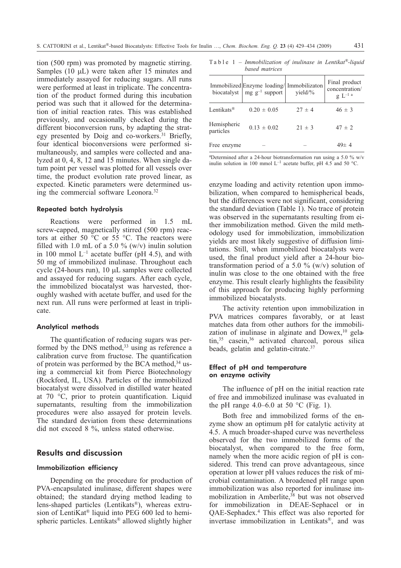tion (500 rpm) was promoted by magnetic stirring. Samples (10 uL) were taken after 15 minutes and immediately assayed for reducing sugars. All runs were performed at least in triplicate. The concentration of the product formed during this incubation period was such that it allowed for the determination of initial reaction rates. This was established previously, and occasionally checked during the different bioconversion runs, by adapting the strategy presented by Doig and co-workers.<sup>31</sup> Briefly, four identical bioconversions were performed simultaneously, and samples were collected and analyzed at 0, 4, 8, 12 and 15 minutes. When single datum point per vessel was plotted for all vessels over time, the product evolution rate proved linear, as expected. Kinetic parameters were determined using the commercial software Leonora.32

#### Repeated batch hydrolysis

Reactions were performed in 1.5 mL screw-capped, magnetically stirred (500 rpm) reactors at either 50  $\degree$ C or 55  $\degree$ C. The reactors were filled with 1.0 mL of a 5.0  $\%$  (w/v) inulin solution in 100 mmol  $L^{-1}$  acetate buffer (pH 4.5), and with 50 mg of immobilized inulinase. Throughout each cycle (24-hours run),  $10 \mu L$  samples were collected and assayed for reducing sugars. After each cycle, the immobilized biocatalyst was harvested, thoroughly washed with acetate buffer, and used for the next run. All runs were performed at least in triplicate.

#### Analytical methods

The quantification of reducing sugars was performed by the DNS method, $33$  using as reference a calibration curve from fructose. The quantification of protein was performed by the BCA method, $34$  using a commercial kit from Pierce Biotechnology (Rockford, IL, USA). Particles of the immobilized biocatalyst were dissolved in distilled water heated at 70 °C, prior to protein quantification. Liquid supernatants, resulting from the immobilization procedures were also assayed for protein levels. The standard deviation from these determinations did not exceed 8 %, unless stated otherwise.

## **Results and discussion**

## Immobilization efficiency

Depending on the procedure for production of PVA-encapsulated inulinase, different shapes were obtained; the standard drying method leading to lens-shaped particles (Lentikats®), whereas extrusion of LentiKat® liquid into PEG 600 led to hemispheric particles. Lentikats® allowed slightly higher

Table 1 – *Immobilization of inulinase in Lentikat®-liquid based matrices*

| biocatalyst              | Immobilized Enzyme loading/ Immobilizaton<br>$mg g^{-1}$ support | yield/ $\%$ | Final product<br>concentration/<br>$g L^{-1}$ <sup>a</sup> |
|--------------------------|------------------------------------------------------------------|-------------|------------------------------------------------------------|
| Lentikats <sup>®</sup>   | $0.20 \pm 0.05$                                                  | $27 \pm 4$  | $46 \pm 3$                                                 |
| Hemispheric<br>particles | $0.13 \pm 0.02$                                                  | $21 \pm 3$  | $47 \pm 2$                                                 |
| Free enzyme              |                                                                  |             | $49 \pm 4$                                                 |

a Determined after a 24-hour biotransformation run using a 5.0 % w/v inulin solution in 100 mmol  $L^{-1}$  acetate buffer, pH 4.5 and 50 °C.

enzyme loading and activity retention upon immobilization, when compared to hemispherical beads, but the differences were not significant, considering the standard deviation (Table 1). No trace of protein was observed in the supernatants resulting from either immobilization method. Given the mild methodology used for immobilization, immobilization yields are most likely suggestive of diffusion limitations. Still, when immobilized biocatalysts were used, the final product yield after a 24-hour biotransformation period of a 5.0  $\%$  (w/v) solution of inulin was close to the one obtained with the free enzyme. This result clearly highlights the feasibility of this approach for producing highly performing immobilized biocatalysts.

The activity retention upon immobilization in PVA matrices compares favorably, or at least matches data from other authors for the immobilization of inulinase in alginate and  $Dowex<sub>10</sub>$  gelatin,<sup>35</sup> casein,<sup>36</sup> activated charcoal, porous silica beads, gelatin and gelatin-citrate.37

## Effect of pH and temperature on enzyme activity

The influence of pH on the initial reaction rate of free and immobilized inulinase was evaluated in the pH range 4.0–6.0 at 50  $^{\circ}$ C (Fig. 1).

Both free and immobilized forms of the enzyme show an optimum pH for catalytic activity at 4.5. A much broader-shaped curve was nevertheless observed for the two immobilized forms of the biocatalyst, when compared to the free form, namely when the more acidic region of pH is considered. This trend can prove advantageous, since operation at lower pH values reduces the risk of microbial contamination. A broadened pH range upon immobilization was also reported for inulinase immobilization in Amberlite, $38$  but was not observed for immobilization in DEAE-Sephacel or in QAE-Sephadex.4 This effect was also reported for invertase immobilization in Lentikats®, and was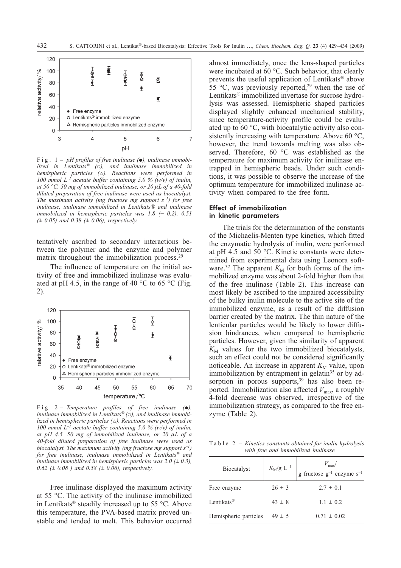

Fig. 1 – *pH profiles of free inulinase (), inulinase immobilized in Lentikats® (*-*), and inulinase immobilized in hemispheric particles (). Reactions were performed in 100 mmol L–1 acetate buffer containing 5.0 % (w/v) of inulin, at* 50 °C. 50 mg of immobilized inulinase, or 20  $\mu$ L of a 40-fold *diluted preparation of free inulinase were used as biocatalyst. The maximum activity (mg fructose mg support s–1) for free inulinase, inulinase immobilized in Lentikats® and inulinase immobilized in hemispheric particles was 1.8 (± 0.2), 0.51 (± 0.05) and 0.38 (± 0.06), respectively.*

tentatively ascribed to secondary interactions between the polymer and the enzyme and polymer matrix throughout the immobilization process.<sup>29</sup>

The influence of temperature on the initial activity of free and immobilized inulinase was evaluated at pH 4.5, in the range of 40  $\degree$ C to 65  $\degree$ C (Fig. 2).



Fig. 2 – *Temperature profiles of free inulinase (),* inulinase immobilized in Lentikats<sup>®</sup> ( $\circ$ ), and inulinase immobi*lized in hemispheric particles (). Reactions were performed in 100 mmol L–1 acetate buffer containing 5.0 % (w/v) of inulin,* at pH 4.5. 50 mg of immobilized inulinase, or 20  $\mu$ L of a *40-fold diluted preparation of free inulinase were used as biocatalyst. The maximum activity (mg fructose mg support s–1) for free inulinase, inulinase immobilized in Lentikats® and inulinase immobilized in hemispheric particles was 2.0 (± 0.3), 0.62 (± 0.08 ) and 0.58 (± 0.06), respectively.*

Free inulinase displayed the maximum activity at 55 °C. The activity of the inulinase immobilized in Lentikats® steadily increased up to 55 °C. Above this temperature, the PVA-based matrix proved unstable and tended to melt. This behavior occurred almost immediately, once the lens-shaped particles were incubated at 60 °C. Such behavior, that clearly prevents the useful application of Lentikats® above 55 °C, was previously reported,<sup>29</sup> when the use of Lentikats® immobilized invertase for sucrose hydrolysis was assessed. Hemispheric shaped particles displayed slightly enhanced mechanical stability, since temperature-activity profile could be evaluated up to 60 °C, with biocatalytic activity also consistently increasing with temperature. Above 60 °C, however, the trend towards melting was also observed. Therefore, 60 °C was established as the temperature for maximum activity for inulinase entrapped in hemispheric beads. Under such conditions, it was possible to observe the increase of the optimum temperature for immobilized inulinase activity when compared to the free form.

#### Effect of immobilization in kinetic parameters

The trials for the determination of the constants of the Michaelis-Menten type kinetics, which fitted the enzymatic hydrolysis of inulin, were performed at pH 4.5 and 50 °C. Kinetic constants were determined from experimental data using Leonora software.<sup>32</sup> The apparent  $K_M$  for both forms of the immobilized enzyme was about 2-fold higher than that of the free inulinase (Table 2). This increase can most likely be ascribed to the impaired accessibility of the bulky inulin molecule to the active site of the immobilized enzyme, as a result of the diffusion barrier created by the matrix. The thin nature of the lenticular particles would be likely to lower diffusion hindrances, when compared to hemispheric particles. However, given the similarity of apparent  $K<sub>M</sub>$  values for the two immobilized biocatalysts, such an effect could not be considered significantly noticeable. An increase in apparent  $K<sub>M</sub>$  value, upon immobilization by entrapment in gelatin<sup>35</sup> or by adsorption in porous supports, $39$  has also been reported. Immobilization also affected  $V_{\text{max}}$ , a roughly 4-fold decrease was observed, irrespective of the immobilization strategy, as compared to the free enzyme (Table 2).

Table 2 – *Kinetics constants obtained for inulin hydrolysis with free and immobilized inulinase*

| Biocatalyst                      | $K_{\mathrm{M}}/\mathrm{g}\,$ $\mathrm{L}^{-1}$ | $V_{\text{max}}/$<br>g fructose $g^{-1}$ enzyme $s^{-1}$ |
|----------------------------------|-------------------------------------------------|----------------------------------------------------------|
| Free enzyme                      | $26 \pm 3$                                      | $2.7 \pm 0.1$                                            |
| Lentikats <sup>®</sup>           | $43 \pm 8$                                      | $1.1 \pm 0.2$                                            |
| Hemispheric particles $49 \pm 5$ |                                                 | $0.71 \pm 0.02$                                          |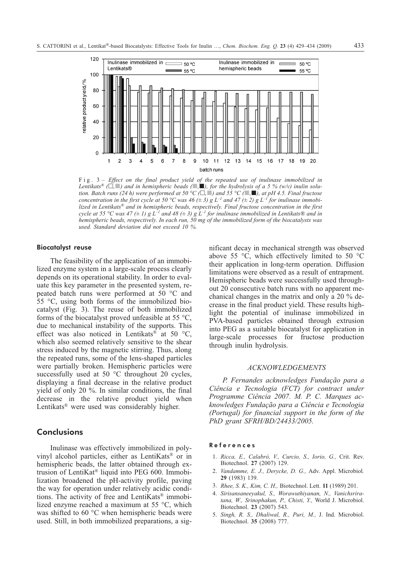

Fig. 3 – *Effect on the final product yield of the repeated use of inulinase immobilized in Lentikats® (,) and in hemispheric beads (,-), for the hydrolysis of a 5 % (w/v) inulin solution. Batch runs (24 h) were performed at 50 °C (,-) and 55 °C (-,-), at pH 4.5. Final fructose concentration in the first cycle at 50 °C was 46 (* $\pm$  *3) g L<sup>-1</sup> and 47 (* $\pm$  *2) g L<sup>-1</sup> <i>for inulinase immobilized in Lentikats® and in hemispheric beads, respectively. Final fructose concentration in the first cycle at 55* °C was 47 ( $\pm$  1) g  $L^{-1}$  and 48 ( $\pm$  3) g  $L^{-1}$  for inulinase immobilized in Lentikats® and in *hemispheric beads, respectively. In each run, 50 mg of the immobilized form of the biocatalysts was used. Standard deviation did not exceed 10 %.*

#### Biocatalyst reuse

The feasibility of the application of an immobilized enzyme system in a large-scale process clearly depends on its operational stability. In order to evaluate this key parameter in the presented system, repeated batch runs were performed at 50 °C and 55 °C, using both forms of the immobilized biocatalyst (Fig. 3). The reuse of both immobilized forms of the biocatalyst proved unfeasible at 55 °C, due to mechanical instability of the supports. This effect was also noticed in Lentikats® at 50  $\textdegree$ C, which also seemed relatively sensitive to the shear stress induced by the magnetic stirring. Thus, along the repeated runs, some of the lens-shaped particles were partially broken. Hemispheric particles were successfully used at 50 °C throughout 20 cycles, displaying a final decrease in the relative product yield of only 20 %. In similar conditions, the final decrease in the relative product yield when Lentikats<sup>®</sup> were used was considerably higher.

# **Conclusions**

Inulinase was effectively immobilized in polyvinyl alcohol particles, either as LentiKats® or in hemispheric beads, the latter obtained through extrusion of LentiKat® liquid into PEG 600. Immobilization broadened the pH-activity profile, paving the way for operation under relatively acidic conditions. The activity of free and LentiKats® immobilized enzyme reached a maximum at 55 °C, which was shifted to 60 °C when hemispheric beads were used. Still, in both immobilized preparations, a significant decay in mechanical strength was observed above 55  $\degree$ C, which effectively limited to 50  $\degree$ C their application in long-term operation. Diffusion limitations were observed as a result of entrapment. Hemispheric beads were successfully used throughout 20 consecutive batch runs with no apparent mechanical changes in the matrix and only a 20 % decrease in the final product yield. These results highlight the potential of inulinase immobilized in PVA-based particles obtained through extrusion into PEG as a suitable biocatalyst for application in large-scale processes for fructose production through inulin hydrolysis.

#### *ACKNOWLEDGEMENTS*

*P. Fernandes acknowledges Fundação para a Ciência e Tecnologia (FCT) for contract under Programme Ciência 2007. M. P. C. Marques acknowledges Fundação para a Ciência e Tecnologia (Portugal) for financial support in the form of the PhD grant SFRH/BD/24433/2005.*

#### References

- 1. *Ricca, E., Calabrò, V., Curcio, S., Iorio, G.,* Crit. Rev. Biotechnol. **27** (2007) 129.
- 2. *Vandamme, E. J., Derycke, D. G.,* Adv. Appl. Microbiol*.* **29** (1983) 139.
- 3. *Rhee, S. K., Kim, C. H.,* Biotechnol. Lett. **11** (1989) 201.
- 4. *Sirisansaneeyakul, S., Worawuthiyanan, N., Vanichsriratana, W., Srinophakun, P., Chisti, Y.,* World J. Microbiol. Biotechnol. **23** (2007) 543.
- 5. *Singh, R. S., Dhaliwal, R., Puri, M.,* J. Ind. Microbiol. Biotechnol. **35** (2008) 777.